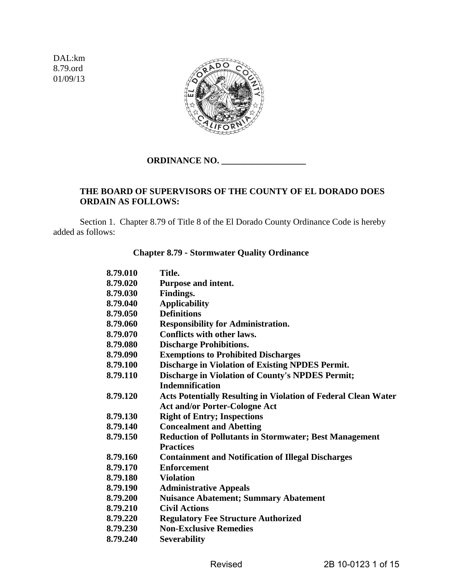DAL:km 8.79.ord 01/09/13



# **ORDINANCE NO. \_\_\_\_\_\_\_\_\_\_\_\_\_\_\_\_\_\_\_**

# **THE BOARD OF SUPERVISORS OF THE COUNTY OF EL DORADO DOES ORDAIN AS FOLLOWS:**

 Section 1. Chapter 8.79 of Title 8 of the El Dorado County Ordinance Code is hereby added as follows:

#### **Chapter 8.79** - **Stormwater Quality Ordinance**

| 8.79.010 | Title.                                                                |
|----------|-----------------------------------------------------------------------|
| 8.79.020 | Purpose and intent.                                                   |
| 8.79.030 | Findings.                                                             |
| 8.79.040 | <b>Applicability</b>                                                  |
| 8.79.050 | <b>Definitions</b>                                                    |
| 8.79.060 | <b>Responsibility for Administration.</b>                             |
| 8.79.070 | <b>Conflicts with other laws.</b>                                     |
| 8.79.080 | <b>Discharge Prohibitions.</b>                                        |
| 8.79.090 | <b>Exemptions to Prohibited Discharges</b>                            |
| 8.79.100 | <b>Discharge in Violation of Existing NPDES Permit.</b>               |
| 8.79.110 | <b>Discharge in Violation of County's NPDES Permit;</b>               |
|          | <b>Indemnification</b>                                                |
| 8.79.120 | <b>Acts Potentially Resulting in Violation of Federal Clean Water</b> |
|          | <b>Act and/or Porter-Cologne Act</b>                                  |
| 8.79.130 | <b>Right of Entry; Inspections</b>                                    |
| 8.79.140 | <b>Concealment and Abetting</b>                                       |
| 8.79.150 | <b>Reduction of Pollutants in Stormwater; Best Management</b>         |
|          | <b>Practices</b>                                                      |
| 8.79.160 | <b>Containment and Notification of Illegal Discharges</b>             |
| 8.79.170 | <b>Enforcement</b>                                                    |
| 8.79.180 | <b>Violation</b>                                                      |
| 8.79.190 | <b>Administrative Appeals</b>                                         |
| 8.79.200 | <b>Nuisance Abatement; Summary Abatement</b>                          |
| 8.79.210 | <b>Civil Actions</b>                                                  |
| 8.79.220 | <b>Regulatory Fee Structure Authorized</b>                            |
| 8.79.230 | <b>Non-Exclusive Remedies</b>                                         |
| 8.79.240 | <b>Severability</b>                                                   |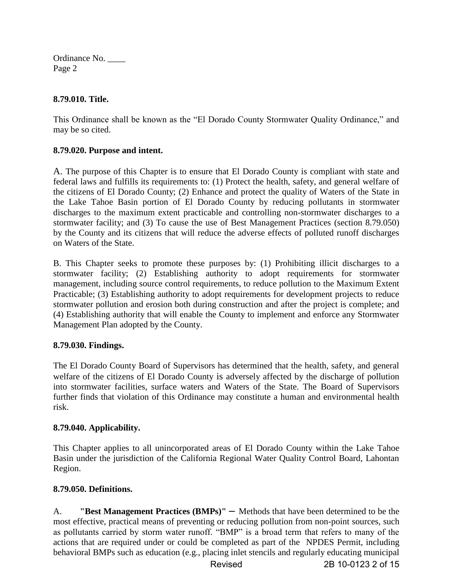# **8.79.010. Title.**

This Ordinance shall be known as the "El Dorado County Stormwater Quality Ordinance," and may be so cited.

# **8.79.020. Purpose and intent.**

A. The purpose of this Chapter is to ensure that El Dorado County is compliant with state and federal laws and fulfills its requirements to: (1) Protect the health, safety, and general welfare of the citizens of El Dorado County; (2) Enhance and protect the quality of Waters of the State in the Lake Tahoe Basin portion of El Dorado County by reducing pollutants in stormwater discharges to the maximum extent practicable and controlling non-stormwater discharges to a stormwater facility; and (3) To cause the use of Best Management Practices (section 8.79.050) by the County and its citizens that will reduce the adverse effects of polluted runoff discharges on Waters of the State.

B. This Chapter seeks to promote these purposes by: (1) Prohibiting illicit discharges to a stormwater facility; (2) Establishing authority to adopt requirements for stormwater management, including source control requirements, to reduce pollution to the Maximum Extent Practicable; (3) Establishing authority to adopt requirements for development projects to reduce stormwater pollution and erosion both during construction and after the project is complete; and (4) Establishing authority that will enable the County to implement and enforce any Stormwater Management Plan adopted by the County.

# **8.79.030. Findings.**

The El Dorado County Board of Supervisors has determined that the health, safety, and general welfare of the citizens of El Dorado County is adversely affected by the discharge of pollution into stormwater facilities, surface waters and Waters of the State. The Board of Supervisors further finds that violation of this Ordinance may constitute a human and environmental health risk.

# **8.79.040. Applicability.**

This Chapter applies to all unincorporated areas of El Dorado County within the Lake Tahoe Basin under the jurisdiction of the California Regional Water Quality Control Board, Lahontan Region.

# **8.79.050. Definitions.**

A. **"Best Management Practices (BMPs)"** – Methods that have been determined to be the most effective, practical means of preventing or reducing pollution from non-point sources, such as pollutants carried by storm water runoff. "BMP" is a broad term that refers to many of the actions that are required under or could be completed as part of the NPDES Permit, including behavioral BMPs such as education (e.g., placing inlet stencils and regularly educating municipal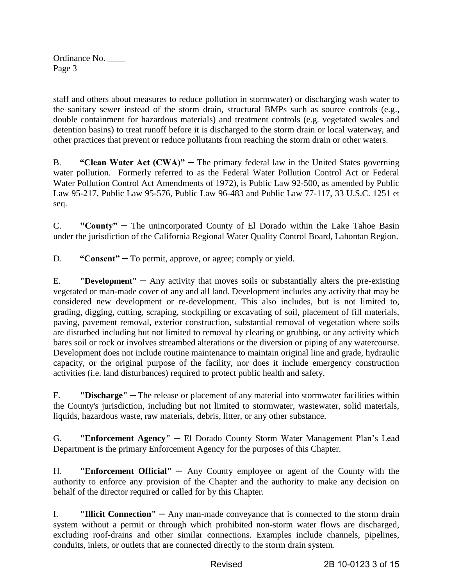staff and others about measures to reduce pollution in stormwater) or discharging wash water to the sanitary sewer instead of the storm drain, structural BMPs such as source controls (e.g., double containment for hazardous materials) and treatment controls (e.g. vegetated swales and detention basins) to treat runoff before it is discharged to the storm drain or local waterway, and other practices that prevent or reduce pollutants from reaching the storm drain or other waters.

B. **"Clean Water Act (CWA)"** – The primary [federal law](http://en.wikipedia.org/wiki/Federal_law) in the [United States](http://en.wikipedia.org/wiki/United_States) governing [water pollution.](http://en.wikipedia.org/wiki/Water_pollution) Formerly referred to as the Federal Water Pollution Control Act or Federal Water Pollution Control Act Amendments of 1972), is Public Law 92-500, as amended by Public Law 95-217, Public Law 95-576, Public Law 96-483 and Public Law 77-117, 33 U.S.C. 1251 et seq.

C. **"County"** – The unincorporated County of El Dorado within the Lake Tahoe Basin under the jurisdiction of the California Regional Water Quality Control Board, Lahontan Region.

D. **"Consent"** – To permit, approve, or agree; comply or yield.

E. **"Development"** – Any activity that moves soils or substantially alters the pre-existing vegetated or man-made cover of any and all land. Development includes any activity that may be considered new development or re-development. This also includes, but is not limited to, grading, digging, cutting, scraping, stockpiling or excavating of soil, placement of fill materials, paving, pavement removal, exterior construction, substantial removal of vegetation where soils are disturbed including but not limited to removal by clearing or grubbing, or any activity which bares soil or rock or involves streambed alterations or the diversion or piping of any watercourse. Development does not include routine maintenance to maintain original line and grade, hydraulic capacity, or the original purpose of the facility, nor does it include emergency construction activities (i.e. land disturbances) required to protect public health and safety.

F. **"Discharge"** – The release or placement of any material into stormwater facilities within the County's jurisdiction, including but not limited to stormwater, wastewater, solid materials, liquids, hazardous waste, raw materials, debris, litter, or any other substance.

G. **"Enforcement Agency"** – El Dorado County Storm Water Management Plan's Lead Department is the primary Enforcement Agency for the purposes of this Chapter.

H. **"Enforcement Official"** – Any County employee or agent of the County with the authority to enforce any provision of the Chapter and the authority to make any decision on behalf of the director required or called for by this Chapter.

I. **"Illicit Connection"** — Any man-made conveyance that is connected to the storm drain system without a permit or through which prohibited non-storm water flows are discharged, excluding roof-drains and other similar connections. Examples include channels, pipelines, conduits, inlets, or outlets that are connected directly to the storm drain system.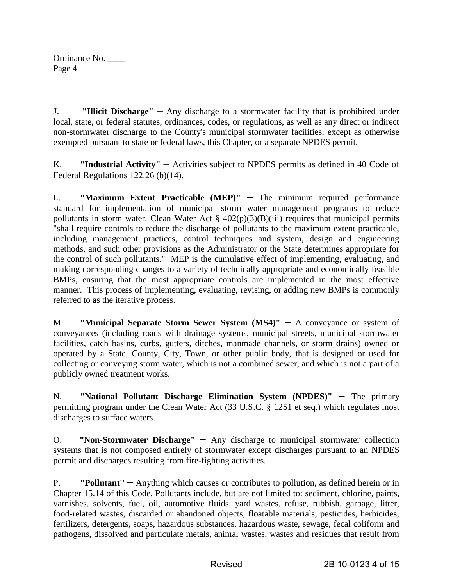J. **"Illicit Discharge"** – Any discharge to a stormwater facility that is prohibited under local, state, or federal statutes, ordinances, codes, or regulations, as well as any direct or indirect non-stormwater discharge to the County's municipal stormwater facilities, except as otherwise exempted pursuant to state or federal laws, this Chapter, or a separate NPDES permit.

K. **"Industrial Activity"** – Activities subject to NPDES permits as defined in 40 Code of Federal Regulations 122.26 (b)(14).

L. **"Maximum Extent Practicable (MEP)"** – The minimum required performance standard for implementation of municipal storm water management programs to reduce pollutants in storm water. Clean Water Act  $\S$  402(p)(3)(B)(iii) requires that municipal permits "shall require controls to reduce the discharge of pollutants to the maximum extent practicable, including management practices, control techniques and system, design and engineering methods, and such other provisions as the Administrator or the State determines appropriate for the control of such pollutants." MEP is the cumulative effect of implementing, evaluating, and making corresponding changes to a variety of technically appropriate and economically feasible BMPs, ensuring that the most appropriate controls are implemented in the most effective manner. This process of implementing, evaluating, revising, or adding new BMPs is commonly referred to as the iterative process.

M. **"Municipal Separate Storm Sewer System (MS4)"** – A conveyance or system of conveyances (including roads with drainage systems, municipal streets, municipal stormwater facilities, catch basins, curbs, gutters, ditches, manmade channels, or storm drains) owned or operated by a State, County, City, Town, or other public body, that is designed or used for collecting or conveying storm water, which is not a combined sewer, and which is not a part of a publicly owned treatment works.

N. **"National Pollutant Discharge Elimination System (NPDES)"** – The primary permitting program under the Clean Water Act (33 U.S.C. § 1251 et seq.) which regulates most discharges to surface waters.

O. **"Non-Stormwater Discharge"** – Any discharge to municipal stormwater collection systems that is not composed entirely of stormwater except discharges pursuant to an NPDES permit and discharges resulting from fire-fighting activities.

P. **"Pollutant"** – Anything which causes or contributes to pollution, as defined herein or in Chapter 15.14 of this Code. Pollutants include, but are not limited to: sediment, chlorine, paints, varnishes, solvents, fuel, oil, automotive fluids, yard wastes, refuse, rubbish, garbage, litter, food-related wastes, discarded or abandoned objects, floatable materials, pesticides, herbicides, fertilizers, detergents, soaps, hazardous substances, hazardous waste, sewage, fecal coliform and pathogens, dissolved and particulate metals, animal wastes, wastes and residues that result from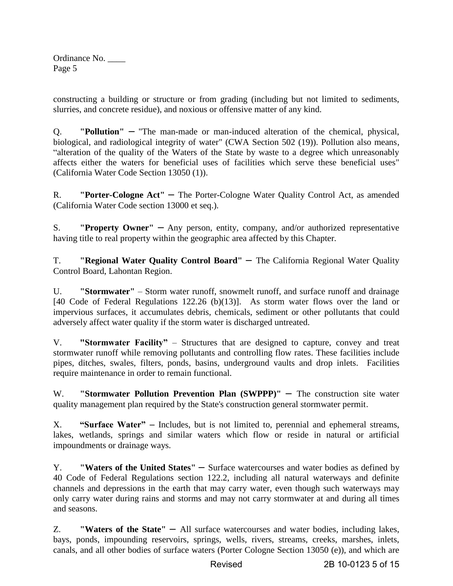constructing a building or structure or from grading (including but not limited to sediments, slurries, and concrete residue), and noxious or offensive matter of any kind.

Q. **"Pollution"** – "The man-made or man-induced alteration of the chemical, physical, biological, and radiological integrity of water" (CWA Section 502 (19)). Pollution also means, "alteration of the quality of the Waters of the State by waste to a degree which unreasonably affects either the waters for beneficial uses of facilities which serve these beneficial uses" (California Water Code Section 13050 (1)).

R. **"Porter-Cologne Act"** – The Porter-Cologne Water Quality Control Act, as amended (California Water Code section 13000 et seq.).

S. **"Property Owner"** – Any person, entity, company, and/or authorized representative having title to real property within the geographic area affected by this Chapter.

T. **"Regional Water Quality Control Board"** – The California Regional Water Quality Control Board, Lahontan Region.

U. **"Stormwater"** – Storm water runoff, snowmelt runoff, and surface runoff and drainage [40 Code of Federal Regulations 122.26 (b)(13)]. As storm water flows over the land or impervious surfaces, it accumulates debris, chemicals, sediment or other pollutants that could adversely affect water quality if the storm water is discharged untreated.

V. **"Stormwater Facility"** – Structures that are designed to capture, convey and treat stormwater runoff while removing pollutants and controlling flow rates. These facilities include pipes, ditches, swales, filters, ponds, basins, underground vaults and drop inlets. Facilities require maintenance in order to remain functional.

W. **"Stormwater Pollution Prevention Plan (SWPPP)"** – The construction site water quality management plan required by the State's construction general stormwater permit.

X. **"Surface Water"** – Includes, but is not limited to, perennial and ephemeral streams, lakes, wetlands, springs and similar waters which flow or reside in natural or artificial impoundments or drainage ways.

Y. **"Waters of the United States"** – Surface watercourses and water bodies as defined by 40 Code of Federal Regulations section 122.2, including all natural waterways and definite channels and depressions in the earth that may carry water, even though such waterways may only carry water during rains and storms and may not carry stormwater at and during all times and seasons.

Z. **"Waters of the State"** – All surface watercourses and water bodies, including lakes, bays, ponds, impounding reservoirs, springs, wells, rivers, streams, creeks, marshes, inlets, canals, and all other bodies of surface waters (Porter Cologne Section 13050 (e)), and which are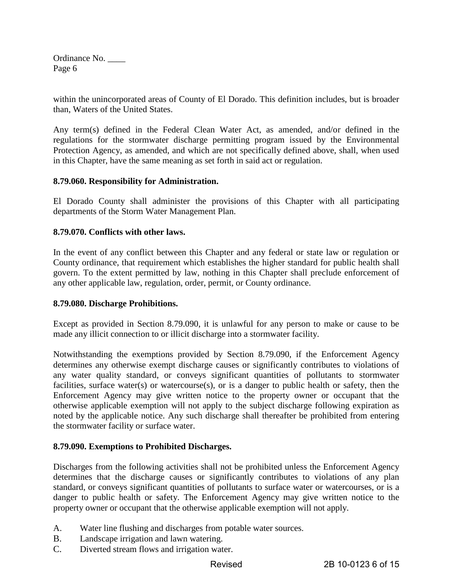within the unincorporated areas of County of El Dorado. This definition includes, but is broader than, Waters of the United States.

Any term(s) defined in the Federal Clean Water Act, as amended, and/or defined in the regulations for the stormwater discharge permitting program issued by the Environmental Protection Agency, as amended, and which are not specifically defined above, shall, when used in this Chapter, have the same meaning as set forth in said act or regulation.

#### **8.79.060. Responsibility for Administration.**

El Dorado County shall administer the provisions of this Chapter with all participating departments of the Storm Water Management Plan.

#### **8.79.070. Conflicts with other laws.**

In the event of any conflict between this Chapter and any federal or state law or regulation or County ordinance, that requirement which establishes the higher standard for public health shall govern. To the extent permitted by law, nothing in this Chapter shall preclude enforcement of any other applicable law, regulation, order, permit, or County ordinance.

#### **8.79.080. Discharge Prohibitions.**

Except as provided in Section 8.79.090, it is unlawful for any person to make or cause to be made any illicit connection to or illicit discharge into a stormwater facility.

Notwithstanding the exemptions provided by Section 8.79.090, if the Enforcement Agency determines any otherwise exempt discharge causes or significantly contributes to violations of any water quality standard, or conveys significant quantities of pollutants to stormwater facilities, surface water(s) or watercourse(s), or is a danger to public health or safety, then the Enforcement Agency may give written notice to the property owner or occupant that the otherwise applicable exemption will not apply to the subject discharge following expiration as noted by the applicable notice. Any such discharge shall thereafter be prohibited from entering the stormwater facility or surface water.

#### **8.79.090. Exemptions to Prohibited Discharges.**

Discharges from the following activities shall not be prohibited unless the Enforcement Agency determines that the discharge causes or significantly contributes to violations of any plan standard, or conveys significant quantities of pollutants to surface water or watercourses, or is a danger to public health or safety. The Enforcement Agency may give written notice to the property owner or occupant that the otherwise applicable exemption will not apply.

- A. Water line flushing and discharges from potable water sources.
- B. Landscape irrigation and lawn watering.
- C. Diverted stream flows and irrigation water.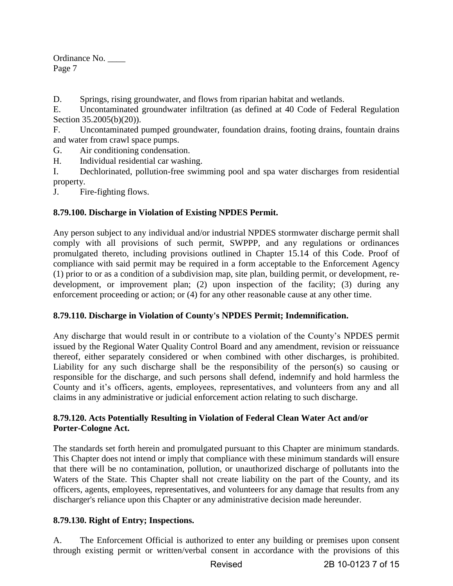D. Springs, rising groundwater, and flows from riparian habitat and wetlands.

E. Uncontaminated groundwater infiltration (as defined at 40 Code of Federal Regulation Section 35.2005(b)(20)).

F. Uncontaminated pumped groundwater, foundation drains, footing drains, fountain drains and water from crawl space pumps.

G. Air conditioning condensation.

H. Individual residential car washing.

I. Dechlorinated, pollution-free swimming pool and spa water discharges from residential property.

J. Fire-fighting flows.

# **8.79.100. Discharge in Violation of Existing NPDES Permit.**

Any person subject to any individual and/or industrial NPDES stormwater discharge permit shall comply with all provisions of such permit, SWPPP, and any regulations or ordinances promulgated thereto, including provisions outlined in Chapter 15.14 of this Code. Proof of compliance with said permit may be required in a form acceptable to the Enforcement Agency (1) prior to or as a condition of a subdivision map, site plan, building permit, or development, redevelopment, or improvement plan; (2) upon inspection of the facility; (3) during any enforcement proceeding or action; or (4) for any other reasonable cause at any other time.

# **8.79.110. Discharge in Violation of County's NPDES Permit; Indemnification.**

Any discharge that would result in or contribute to a violation of the County's NPDES permit issued by the Regional Water Quality Control Board and any amendment, revision or reissuance thereof, either separately considered or when combined with other discharges, is prohibited. Liability for any such discharge shall be the responsibility of the person(s) so causing or responsible for the discharge, and such persons shall defend, indemnify and hold harmless the County and it's officers, agents, employees, representatives, and volunteers from any and all claims in any administrative or judicial enforcement action relating to such discharge.

# **8.79.120. Acts Potentially Resulting in Violation of Federal Clean Water Act and/or Porter-Cologne Act.**

The standards set forth herein and promulgated pursuant to this Chapter are minimum standards. This Chapter does not intend or imply that compliance with these minimum standards will ensure that there will be no contamination, pollution, or unauthorized discharge of pollutants into the Waters of the State. This Chapter shall not create liability on the part of the County, and its officers, agents, employees, representatives, and volunteers for any damage that results from any discharger's reliance upon this Chapter or any administrative decision made hereunder.

# **8.79.130. Right of Entry; Inspections.**

A. The Enforcement Official is authorized to enter any building or premises upon consent through existing permit or written/verbal consent in accordance with the provisions of this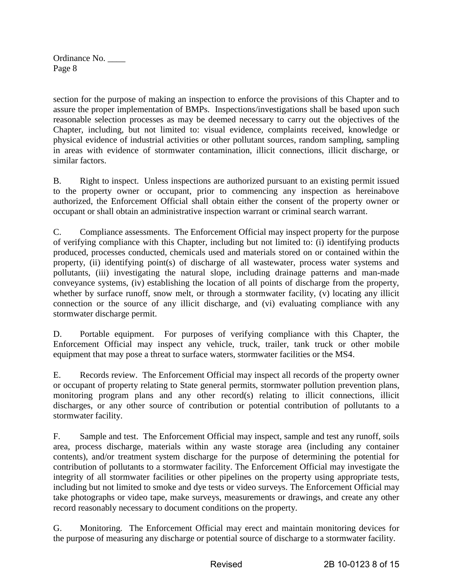section for the purpose of making an inspection to enforce the provisions of this Chapter and to assure the proper implementation of BMPs. Inspections/investigations shall be based upon such reasonable selection processes as may be deemed necessary to carry out the objectives of the Chapter, including, but not limited to: visual evidence, complaints received, knowledge or physical evidence of industrial activities or other pollutant sources, random sampling, sampling in areas with evidence of stormwater contamination, illicit connections, illicit discharge, or similar factors.

B. Right to inspect. Unless inspections are authorized pursuant to an existing permit issued to the property owner or occupant, prior to commencing any inspection as hereinabove authorized, the Enforcement Official shall obtain either the consent of the property owner or occupant or shall obtain an administrative inspection warrant or criminal search warrant.

C. Compliance assessments. The Enforcement Official may inspect property for the purpose of verifying compliance with this Chapter, including but not limited to: (i) identifying products produced, processes conducted, chemicals used and materials stored on or contained within the property, (ii) identifying point(s) of discharge of all wastewater, process water systems and pollutants, (iii) investigating the natural slope, including drainage patterns and man-made conveyance systems, (iv) establishing the location of all points of discharge from the property, whether by surface runoff, snow melt, or through a stormwater facility, (v) locating any illicit connection or the source of any illicit discharge, and (vi) evaluating compliance with any stormwater discharge permit.

D. Portable equipment. For purposes of verifying compliance with this Chapter, the Enforcement Official may inspect any vehicle, truck, trailer, tank truck or other mobile equipment that may pose a threat to surface waters, stormwater facilities or the MS4.

E. Records review. The Enforcement Official may inspect all records of the property owner or occupant of property relating to State general permits, stormwater pollution prevention plans, monitoring program plans and any other record(s) relating to illicit connections, illicit discharges, or any other source of contribution or potential contribution of pollutants to a stormwater facility.

F. Sample and test. The Enforcement Official may inspect, sample and test any runoff, soils area, process discharge, materials within any waste storage area (including any container contents), and/or treatment system discharge for the purpose of determining the potential for contribution of pollutants to a stormwater facility. The Enforcement Official may investigate the integrity of all stormwater facilities or other pipelines on the property using appropriate tests, including but not limited to smoke and dye tests or video surveys. The Enforcement Official may take photographs or video tape, make surveys, measurements or drawings, and create any other record reasonably necessary to document conditions on the property.

G. Monitoring. The Enforcement Official may erect and maintain monitoring devices for the purpose of measuring any discharge or potential source of discharge to a stormwater facility.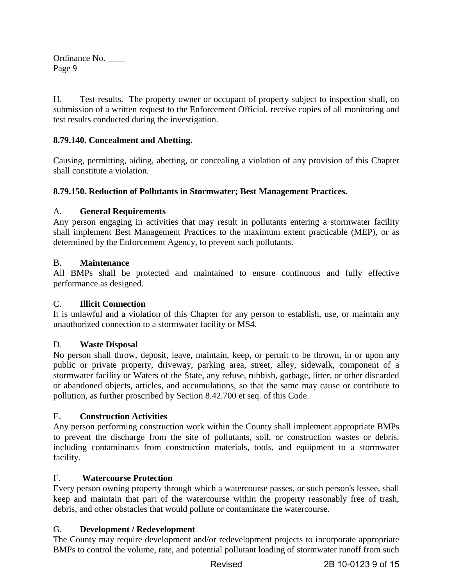H. Test results. The property owner or occupant of property subject to inspection shall, on submission of a written request to the Enforcement Official, receive copies of all monitoring and test results conducted during the investigation.

# **8.79.140. Concealment and Abetting.**

Causing, permitting, aiding, abetting, or concealing a violation of any provision of this Chapter shall constitute a violation.

# **8.79.150. Reduction of Pollutants in Stormwater; Best Management Practices.**

# A. **General Requirements**

Any person engaging in activities that may result in pollutants entering a stormwater facility shall implement Best Management Practices to the maximum extent practicable (MEP), or as determined by the Enforcement Agency, to prevent such pollutants.

# B. **Maintenance**

All BMPs shall be protected and maintained to ensure continuous and fully effective performance as designed.

# C. **Illicit Connection**

It is unlawful and a violation of this Chapter for any person to establish, use, or maintain any unauthorized connection to a stormwater facility or MS4.

# D. **Waste Disposal**

No person shall throw, deposit, leave, maintain, keep, or permit to be thrown, in or upon any public or private property, driveway, parking area, street, alley, sidewalk, component of a stormwater facility or Waters of the State, any refuse, rubbish, garbage, litter, or other discarded or abandoned objects, articles, and accumulations, so that the same may cause or contribute to pollution, as further proscribed by Section 8.42.700 et seq. of this Code.

# E. **Construction Activities**

Any person performing construction work within the County shall implement appropriate BMPs to prevent the discharge from the site of pollutants, soil, or construction wastes or debris, including contaminants from construction materials, tools, and equipment to a stormwater facility.

# F. **Watercourse Protection**

Every person owning property through which a watercourse passes, or such person's lessee, shall keep and maintain that part of the watercourse within the property reasonably free of trash, debris, and other obstacles that would pollute or contaminate the watercourse.

# G. **Development / Redevelopment**

The County may require development and/or redevelopment projects to incorporate appropriate BMPs to control the volume, rate, and potential pollutant loading of stormwater runoff from such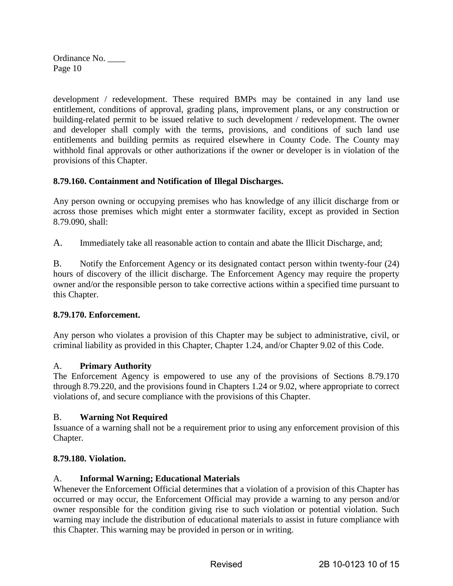development / redevelopment. These required BMPs may be contained in any land use entitlement, conditions of approval, grading plans, improvement plans, or any construction or building-related permit to be issued relative to such development / redevelopment. The owner and developer shall comply with the terms, provisions, and conditions of such land use entitlements and building permits as required elsewhere in County Code. The County may withhold final approvals or other authorizations if the owner or developer is in violation of the provisions of this Chapter.

# **8.79.160. Containment and Notification of Illegal Discharges.**

Any person owning or occupying premises who has knowledge of any illicit discharge from or across those premises which might enter a stormwater facility, except as provided in Section 8.79.090, shall:

A. Immediately take all reasonable action to contain and abate the Illicit Discharge, and;

B. Notify the Enforcement Agency or its designated contact person within twenty-four (24) hours of discovery of the illicit discharge. The Enforcement Agency may require the property owner and/or the responsible person to take corrective actions within a specified time pursuant to this Chapter.

# **8.79.170. Enforcement.**

Any person who violates a provision of this Chapter may be subject to administrative, civil, or criminal liability as provided in this Chapter, Chapter 1.24, and/or Chapter 9.02 of this Code.

# A. **Primary Authority**

The Enforcement Agency is empowered to use any of the provisions of Sections 8.79.170 through 8.79.220, and the provisions found in Chapters 1.24 or 9.02, where appropriate to correct violations of, and secure compliance with the provisions of this Chapter.

# B. **Warning Not Required**

Issuance of a warning shall not be a requirement prior to using any enforcement provision of this Chapter.

# **8.79.180. Violation.**

# A. **Informal Warning; Educational Materials**

Whenever the Enforcement Official determines that a violation of a provision of this Chapter has occurred or may occur, the Enforcement Official may provide a warning to any person and/or owner responsible for the condition giving rise to such violation or potential violation. Such warning may include the distribution of educational materials to assist in future compliance with this Chapter. This warning may be provided in person or in writing.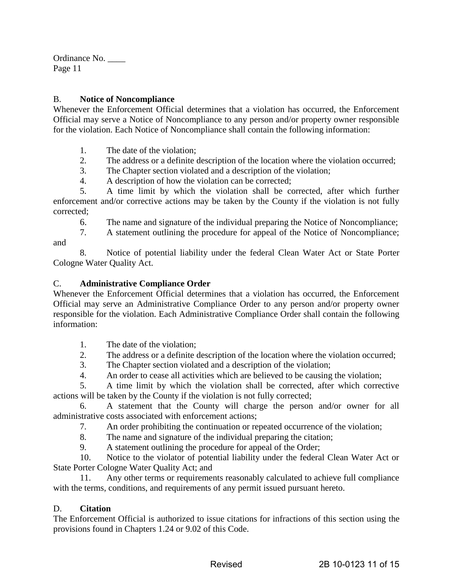#### B. **Notice of Noncompliance**

Whenever the Enforcement Official determines that a violation has occurred, the Enforcement Official may serve a Notice of Noncompliance to any person and/or property owner responsible for the violation. Each Notice of Noncompliance shall contain the following information:

1. The date of the violation;

- 2. The address or a definite description of the location where the violation occurred;
- 3. The Chapter section violated and a description of the violation;
- 4. A description of how the violation can be corrected;

 5. A time limit by which the violation shall be corrected, after which further enforcement and/or corrective actions may be taken by the County if the violation is not fully corrected;

6. The name and signature of the individual preparing the Notice of Noncompliance;

 7. A statement outlining the procedure for appeal of the Notice of Noncompliance; and

 8. Notice of potential liability under the federal Clean Water Act or State Porter Cologne Water Quality Act.

#### C. **Administrative Compliance Order**

Whenever the Enforcement Official determines that a violation has occurred, the Enforcement Official may serve an Administrative Compliance Order to any person and/or property owner responsible for the violation. Each Administrative Compliance Order shall contain the following information:

- 1. The date of the violation;
- 2. The address or a definite description of the location where the violation occurred;
- 3. The Chapter section violated and a description of the violation;
- 4. An order to cease all activities which are believed to be causing the violation;

 5. A time limit by which the violation shall be corrected, after which corrective actions will be taken by the County if the violation is not fully corrected;

 6. A statement that the County will charge the person and/or owner for all administrative costs associated with enforcement actions;

7. An order prohibiting the continuation or repeated occurrence of the violation;

8. The name and signature of the individual preparing the citation;

9. A statement outlining the procedure for appeal of the Order;

 10. Notice to the violator of potential liability under the federal Clean Water Act or State Porter Cologne Water Quality Act; and

 11. Any other terms or requirements reasonably calculated to achieve full compliance with the terms, conditions, and requirements of any permit issued pursuant hereto.

# D. **Citation**

The Enforcement Official is authorized to issue citations for infractions of this section using the provisions found in Chapters 1.24 or 9.02 of this Code.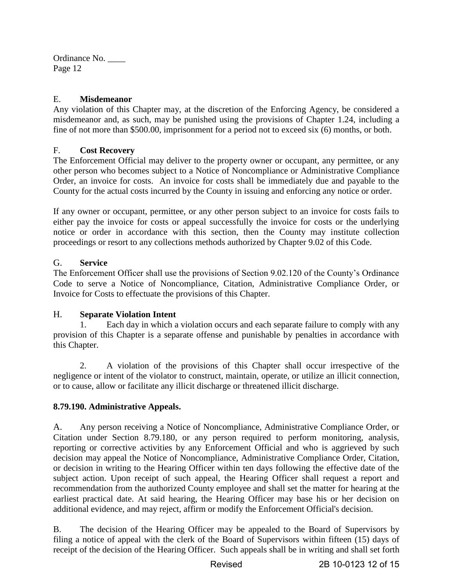# E. **Misdemeanor**

Any violation of this Chapter may, at the discretion of the Enforcing Agency, be considered a misdemeanor and, as such, may be punished using the provisions of Chapter 1.24, including a fine of not more than \$500.00, imprisonment for a period not to exceed six (6) months, or both.

# F. **Cost Recovery**

The Enforcement Official may deliver to the property owner or occupant, any permittee, or any other person who becomes subject to a Notice of Noncompliance or Administrative Compliance Order, an invoice for costs. An invoice for costs shall be immediately due and payable to the County for the actual costs incurred by the County in issuing and enforcing any notice or order.

If any owner or occupant, permittee, or any other person subject to an invoice for costs fails to either pay the invoice for costs or appeal successfully the invoice for costs or the underlying notice or order in accordance with this section, then the County may institute collection proceedings or resort to any collections methods authorized by Chapter 9.02 of this Code.

# G. **Service**

The Enforcement Officer shall use the provisions of Section 9.02.120 of the County's Ordinance Code to serve a Notice of Noncompliance, Citation, Administrative Compliance Order, or Invoice for Costs to effectuate the provisions of this Chapter.

# H. **Separate Violation Intent**

 1. Each day in which a violation occurs and each separate failure to comply with any provision of this Chapter is a separate offense and punishable by penalties in accordance with this Chapter.

 2. A violation of the provisions of this Chapter shall occur irrespective of the negligence or intent of the violator to construct, maintain, operate, or utilize an illicit connection, or to cause, allow or facilitate any illicit discharge or threatened illicit discharge.

# **8.79.190. Administrative Appeals.**

A. Any person receiving a Notice of Noncompliance, Administrative Compliance Order, or Citation under Section 8.79.180, or any person required to perform monitoring, analysis, reporting or corrective activities by any Enforcement Official and who is aggrieved by such decision may appeal the Notice of Noncompliance, Administrative Compliance Order, Citation, or decision in writing to the Hearing Officer within ten days following the effective date of the subject action. Upon receipt of such appeal, the Hearing Officer shall request a report and recommendation from the authorized County employee and shall set the matter for hearing at the earliest practical date. At said hearing, the Hearing Officer may base his or her decision on additional evidence, and may reject, affirm or modify the Enforcement Official's decision.

B. The decision of the Hearing Officer may be appealed to the Board of Supervisors by filing a notice of appeal with the clerk of the Board of Supervisors within fifteen (15) days of receipt of the decision of the Hearing Officer. Such appeals shall be in writing and shall set forth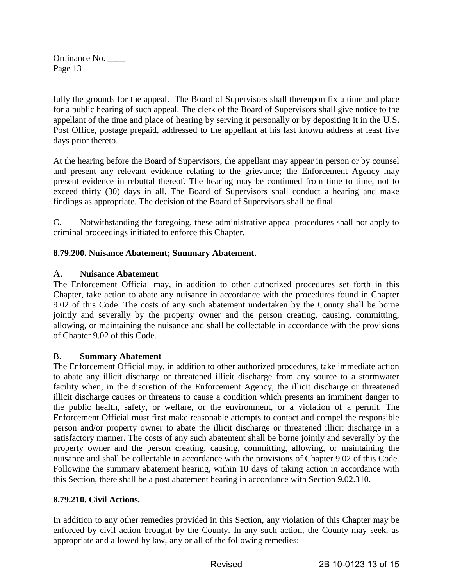fully the grounds for the appeal. The Board of Supervisors shall thereupon fix a time and place for a public hearing of such appeal. The clerk of the Board of Supervisors shall give notice to the appellant of the time and place of hearing by serving it personally or by depositing it in the U.S. Post Office, postage prepaid, addressed to the appellant at his last known address at least five days prior thereto.

At the hearing before the Board of Supervisors, the appellant may appear in person or by counsel and present any relevant evidence relating to the grievance; the Enforcement Agency may present evidence in rebuttal thereof. The hearing may be continued from time to time, not to exceed thirty (30) days in all. The Board of Supervisors shall conduct a hearing and make findings as appropriate. The decision of the Board of Supervisors shall be final.

C. Notwithstanding the foregoing, these administrative appeal procedures shall not apply to criminal proceedings initiated to enforce this Chapter.

# **8.79.200. Nuisance Abatement; Summary Abatement.**

# A. **Nuisance Abatement**

The Enforcement Official may, in addition to other authorized procedures set forth in this Chapter, take action to abate any nuisance in accordance with the procedures found in Chapter 9.02 of this Code. The costs of any such abatement undertaken by the County shall be borne jointly and severally by the property owner and the person creating, causing, committing, allowing, or maintaining the nuisance and shall be collectable in accordance with the provisions of Chapter 9.02 of this Code.

# B. **Summary Abatement**

The Enforcement Official may, in addition to other authorized procedures, take immediate action to abate any illicit discharge or threatened illicit discharge from any source to a stormwater facility when, in the discretion of the Enforcement Agency, the illicit discharge or threatened illicit discharge causes or threatens to cause a condition which presents an imminent danger to the public health, safety, or welfare, or the environment, or a violation of a permit. The Enforcement Official must first make reasonable attempts to contact and compel the responsible person and/or property owner to abate the illicit discharge or threatened illicit discharge in a satisfactory manner. The costs of any such abatement shall be borne jointly and severally by the property owner and the person creating, causing, committing, allowing, or maintaining the nuisance and shall be collectable in accordance with the provisions of Chapter 9.02 of this Code. Following the summary abatement hearing, within 10 days of taking action in accordance with this Section, there shall be a post abatement hearing in accordance with Section 9.02.310.

# **8.79.210. Civil Actions.**

In addition to any other remedies provided in this Section, any violation of this Chapter may be enforced by civil action brought by the County. In any such action, the County may seek, as appropriate and allowed by law, any or all of the following remedies: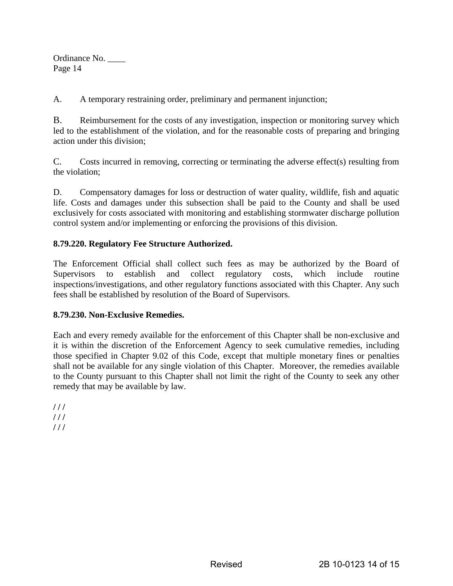A. A temporary restraining order, preliminary and permanent injunction;

B. Reimbursement for the costs of any investigation, inspection or monitoring survey which led to the establishment of the violation, and for the reasonable costs of preparing and bringing action under this division;

C. Costs incurred in removing, correcting or terminating the adverse effect(s) resulting from the violation;

D. Compensatory damages for loss or destruction of water quality, wildlife, fish and aquatic life. Costs and damages under this subsection shall be paid to the County and shall be used exclusively for costs associated with monitoring and establishing stormwater discharge pollution control system and/or implementing or enforcing the provisions of this division.

# **8.79.220. Regulatory Fee Structure Authorized.**

The Enforcement Official shall collect such fees as may be authorized by the Board of Supervisors to establish and collect regulatory costs, which include routine inspections/investigations, and other regulatory functions associated with this Chapter. Any such fees shall be established by resolution of the Board of Supervisors.

# **8.79.230. Non-Exclusive Remedies.**

Each and every remedy available for the enforcement of this Chapter shall be non-exclusive and it is within the discretion of the Enforcement Agency to seek cumulative remedies, including those specified in Chapter 9.02 of this Code, except that multiple monetary fines or penalties shall not be available for any single violation of this Chapter. Moreover, the remedies available to the County pursuant to this Chapter shall not limit the right of the County to seek any other remedy that may be available by law.

**/ / / / / / / / /**